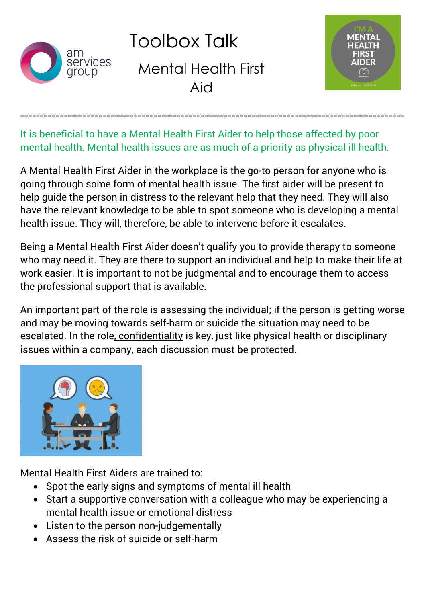

Toolbox Talk Mental Health First Aid



It is beneficial to have a Mental Health First Aider to help those affected by poor mental health. Mental health issues are as much of a priority as physical ill health.

==================================================================================================

A Mental Health First Aider in the workplace is the go-to person for anyone who is going through some form of mental health issue. The first aider will be present to help guide the person in distress to the relevant help that they need. They will also have the relevant knowledge to be able to spot someone who is developing a mental health issue. They will, therefore, be able to intervene before it escalates.

Being a Mental Health First Aider doesn't qualify you to provide therapy to someone who may need it. They are there to support an individual and help to make their life at work easier. It is important to not be judgmental and to encourage them to access the professional support that is available.

An important part of the role is assessing the individual; if the person is getting worse and may be moving towards self-harm or suicide the situation may need to be escalated. In the role, confidentiality is key, just like physical health or disciplinary issues within a company, each discussion must be protected.



Mental Health First Aiders are trained to:

- Spot the early signs and symptoms of mental ill health
- Start a supportive conversation with a colleague who may be experiencing a mental health issue or emotional distress
- Listen to the person non-judgementally
- Assess the risk of suicide or self-harm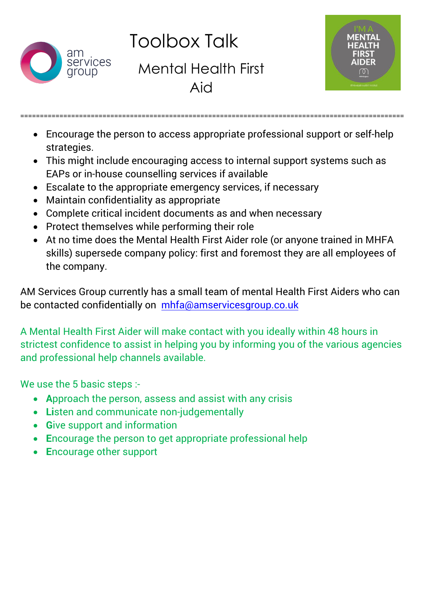

Toolbox Talk

Mental Health First Aid



 Encourage the person to access appropriate professional support or self-help strategies.

==================================================================================================

- This might include encouraging access to internal support systems such as EAPs or in-house counselling services if available
- Escalate to the appropriate emergency services, if necessary
- Maintain confidentiality as appropriate
- Complete critical incident documents as and when necessary
- Protect themselves while performing their role
- At no time does the Mental Health First Aider role (or anyone trained in MHFA skills) supersede company policy: first and foremost they are all employees of the company.

AM Services Group currently has a small team of mental Health First Aiders who can be contacted con[fidentially on mhfa@amservice](mailto:mhfa@amservicesgroup.co.uk)sgroup.co.uk

A Mental Health First Aider will make contact with you ideally within 48 hours in strictest confidence to assist in helping you by informing you of the various agencies and professional help channels available.

We use the 5 basic steps :-

- **A**pproach the person, assess and assist with any crisis
- **Li**sten and communicate non-judgementally
- **Give support and information**
- **E**ncourage the person to get appropriate professional help
- **E**ncourage other support